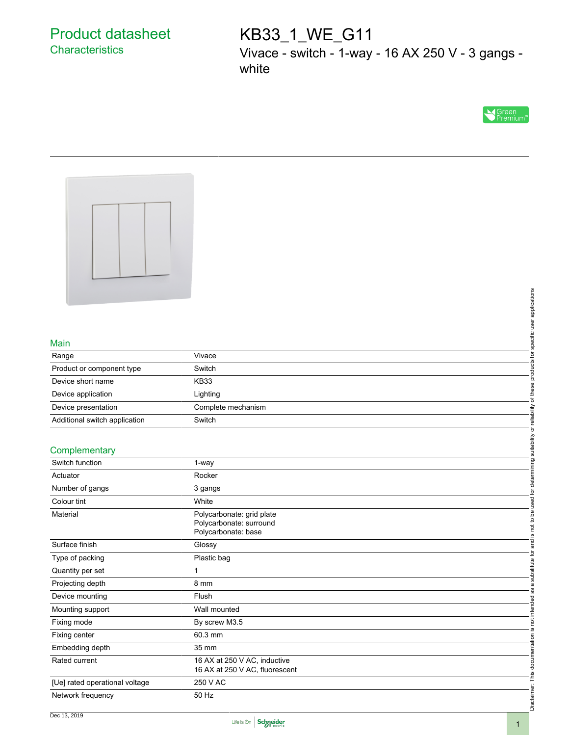## Product datasheet **Characteristics**

# KB33\_1\_WE\_G11

Vivace - switch - 1-way - 16 AX 250 V - 3 gangs white





#### Main

| Range                         | Vivace             |
|-------------------------------|--------------------|
| Product or component type     | Switch             |
| Device short name             | <b>KB33</b>        |
| Device application            | Lighting           |
| Device presentation           | Complete mechanism |
| Additional switch application | Switch             |

#### **Complementary**

|                                |                                                      | products for specific user applications                            |
|--------------------------------|------------------------------------------------------|--------------------------------------------------------------------|
| Main                           |                                                      |                                                                    |
| Range                          | Vivace                                               |                                                                    |
| Product or component type      | Switch                                               |                                                                    |
| Device short name              | <b>KB33</b>                                          |                                                                    |
| Device application             | Lighting                                             | of these                                                           |
| Device presentation            | Complete mechanism                                   |                                                                    |
| Additional switch application  | Switch                                               |                                                                    |
|                                |                                                      |                                                                    |
| Complementary                  |                                                      |                                                                    |
| Switch function                | 1-way                                                |                                                                    |
| Actuator                       | Rocker                                               | is not to be used for determining suitability or reliability       |
| Number of gangs                | 3 gangs                                              |                                                                    |
| Colour tint                    | White                                                |                                                                    |
|                                |                                                      |                                                                    |
| Material                       | Polycarbonate: grid plate<br>Polycarbonate: surround |                                                                    |
|                                | Polycarbonate: base                                  |                                                                    |
| Surface finish                 | Glossy                                               | and                                                                |
| Type of packing                | Plastic bag                                          |                                                                    |
| Quantity per set               | $\mathbf{1}$                                         |                                                                    |
| Projecting depth               | 8 mm                                                 |                                                                    |
| Device mounting                | Flush                                                |                                                                    |
| Mounting support               | Wall mounted                                         |                                                                    |
| Fixing mode                    | By screw M3.5                                        |                                                                    |
| Fixing center                  | 60.3 mm                                              |                                                                    |
| Embedding depth                | 35 mm                                                |                                                                    |
| Rated current                  | 16 AX at 250 V AC, inductive                         |                                                                    |
|                                | 16 AX at 250 V AC, fluorescent                       |                                                                    |
| [Ue] rated operational voltage | 250 V AC                                             | Disclaimer: This documentation is not intended as a substitute for |
| Network frequency              | 50 Hz                                                |                                                                    |
|                                |                                                      |                                                                    |